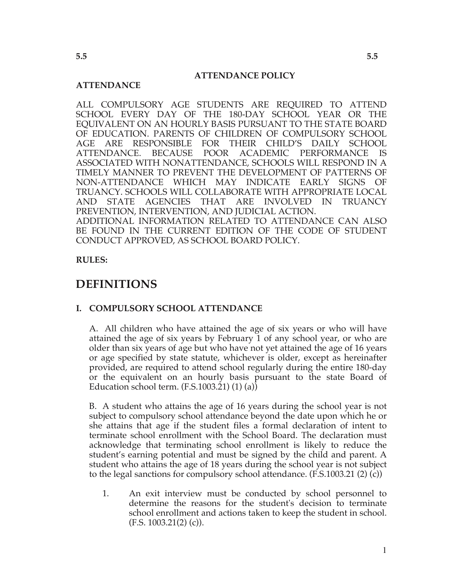#### **ATTENDANCE POLICY**

#### **ATTENDANCE**

ALL COMPULSORY AGE STUDENTS ARE REQUIRED TO ATTEND SCHOOL EVERY DAY OF THE 180-DAY SCHOOL YEAR OR THE EQUIVALENT ON AN HOURLY BASIS PURSUANT TO THE STATE BOARD OF EDUCATION. PARENTS OF CHILDREN OF COMPULSORY SCHOOL AGE ARE RESPONSIBLE FOR THEIR CHILD'S DAILY SCHOOL ATTENDANCE. BECAUSE POOR ACADEMIC PERFORMANCE IS ASSOCIATED WITH NONATTENDANCE, SCHOOLS WILL RESPOND IN A TIMELY MANNER TO PREVENT THE DEVELOPMENT OF PATTERNS OF NON-ATTENDANCE WHICH MAY INDICATE EARLY SIGNS OF TRUANCY. SCHOOLS WILL COLLABORATE WITH APPROPRIATE LOCAL AND STATE AGENCIES THAT ARE INVOLVED IN TRUANCY PREVENTION, INTERVENTION, AND JUDICIAL ACTION. ADDITIONAL INFORMATION RELATED TO ATTENDANCE CAN ALSO BE FOUND IN THE CURRENT EDITION OF THE CODE OF STUDENT

**RULES:**

### **DEFINITIONS**

#### **I. COMPULSORY SCHOOL ATTENDANCE**

CONDUCT APPROVED, AS SCHOOL BOARD POLICY.

A. All children who have attained the age of six years or who will have attained the age of six years by February 1 of any school year, or who are older than six years of age but who have not yet attained the age of 16 years or age specified by state statute, whichever is older, except as hereinafter provided, are required to attend school regularly during the entire 180-day or the equivalent on an hourly basis pursuant to the state Board of Education school term. (F.S.1003.21) (1) (a))

B. A student who attains the age of 16 years during the school year is not subject to compulsory school attendance beyond the date upon which he or she attains that age if the student files a formal declaration of intent to terminate school enrollment with the School Board. The declaration must acknowledge that terminating school enrollment is likely to reduce the student's earning potential and must be signed by the child and parent. A student who attains the age of 18 years during the school year is not subject to the legal sanctions for compulsory school attendance. (F.S.1003.21 (2) (c))

1. An exit interview must be conducted by school personnel to determine the reasons for the student's decision to terminate school enrollment and actions taken to keep the student in school.  $(F.S. 1003.21(2) (c)).$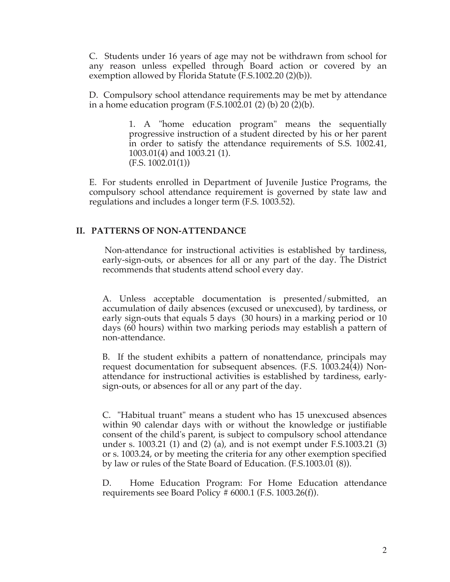C. Students under 16 years of age may not be withdrawn from school for any reason unless expelled through Board action or covered by an exemption allowed by Florida Statute (F.S.1002.20 (2)(b)).

D. Compulsory school attendance requirements may be met by attendance in a home education program (F.S.1002.01 (2) (b) 20 (2)(b).

> 1. A "home education program" means the sequentially progressive instruction of a student directed by his or her parent in order to satisfy the attendance requirements of S.S. 1002.41, 1003.01(4) and 1003.21 (1). (F.S. 1002.01(1))

E. For students enrolled in Department of Juvenile Justice Programs, the compulsory school attendance requirement is governed by state law and regulations and includes a longer term (F.S. 1003.52).

#### **II. PATTERNS OF NON-ATTENDANCE**

Non-attendance for instructional activities is established by tardiness, early-sign-outs, or absences for all or any part of the day. The District recommends that students attend school every day.

A. Unless acceptable documentation is presented/submitted, an accumulation of daily absences (excused or unexcused), by tardiness, or early sign-outs that equals 5 days (30 hours) in a marking period or 10 days (60 hours) within two marking periods may establish a pattern of non-attendance.

B. If the student exhibits a pattern of nonattendance, principals may request documentation for subsequent absences. (F.S. 1003.24(4)) Nonattendance for instructional activities is established by tardiness, earlysign-outs, or absences for all or any part of the day.

C. "Habitual truant" means a student who has 15 unexcused absences within 90 calendar days with or without the knowledge or justifiable consent of the child's parent, is subject to compulsory school attendance under s. 1003.21 (1) and (2) (a), and is not exempt under F.S.1003.21 (3) or s. 1003.24, or by meeting the criteria for any other exemption specified by law or rules of the State Board of Education. (F.S.1003.01 (8)).

D. Home Education Program: For Home Education attendance requirements see Board Policy  $\#$  6000.1 (F.S. 1003.26(f)).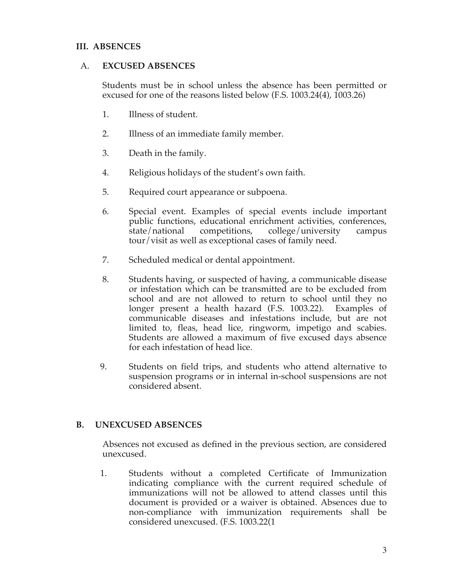### **III. ABSENCES**

#### A. **EXCUSED ABSENCES**

Students must be in school unless the absence has been permitted or excused for one of the reasons listed below (F.S. 1003.24(4), 1003.26)

- 1. Illness of student.
- 2. Illness of an immediate family member.
- 3. Death in the family.
- 4. Religious holidays of the student's own faith.
- 5. Required court appearance or subpoena.
- 6. Special event. Examples of special events include important public functions, educational enrichment activities, conferences, state/national competitions, college/university campus tour/visit as well as exceptional cases of family need.
- 7. Scheduled medical or dental appointment.
- 8. Students having, or suspected of having, a communicable disease or infestation which can be transmitted are to be excluded from school and are not allowed to return to school until they no longer present a health hazard (F.S. 1003.22). Examples of communicable diseases and infestations include, but are not limited to, fleas, head lice, ringworm, impetigo and scabies. Students are allowed a maximum of five excused days absence for each infestation of head lice.
- 9. Students on field trips, and students who attend alternative to suspension programs or in internal in-school suspensions are not considered absent.

### **B. UNEXCUSED ABSENCES**

Absences not excused as defined in the previous section, are considered unexcused.

 1. Students without a completed Certificate of Immunization indicating compliance with the current required schedule of immunizations will not be allowed to attend classes until this document is provided or a waiver is obtained. Absences due to non-compliance with immunization requirements shall be considered unexcused. (F.S. 1003.22(1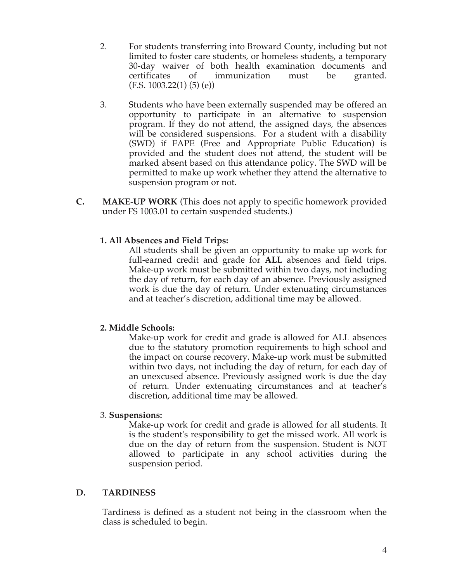- 2. For students transferring into Broward County, including but not limited to foster care students, or homeless students, a temporary 30-day waiver of both health examination documents and certificates of immunization must be granted.  $(F.S. 1003.22(1) (5) (e))$
- 3. Students who have been externally suspended may be offered an opportunity to participate in an alternative to suspension program. If they do not attend, the assigned days, the absences will be considered suspensions. For a student with a disability (SWD) if FAPE (Free and Appropriate Public Education) is provided and the student does not attend, the student will be marked absent based on this attendance policy. The SWD will be permitted to make up work whether they attend the alternative to suspension program or not.
- **C. MAKE-UP WORK** (This does not apply to specific homework provided under FS 1003.01 to certain suspended students.)

### **1. All Absences and Field Trips:**

All students shall be given an opportunity to make up work for full-earned credit and grade for **ALL** absences and field trips. Make-up work must be submitted within two days, not including the day of return, for each day of an absence. Previously assigned work is due the day of return. Under extenuating circumstances and at teacher's discretion, additional time may be allowed.

### **2. Middle Schools:**

Make-up work for credit and grade is allowed for ALL absences due to the statutory promotion requirements to high school and the impact on course recovery. Make-up work must be submitted within two days, not including the day of return, for each day of an unexcused absence. Previously assigned work is due the day of return. Under extenuating circumstances and at teacher's discretion, additional time may be allowed.

### 3. **Suspensions:**

 Make-up work for credit and grade is allowed for all students. It is the student's responsibility to get the missed work. All work is due on the day of return from the suspension. Student is NOT allowed to participate in any school activities during the suspension period.

### **D. TARDINESS**

Tardiness is defined as a student not being in the classroom when the class is scheduled to begin.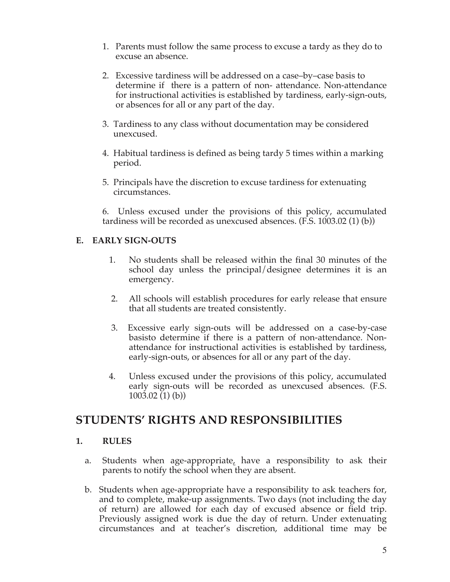- 1. Parents must follow the same process to excuse a tardy as they do to excuse an absence.
- 2. Excessive tardiness will be addressed on a case–by–case basis to determine if there is a pattern of non- attendance. Non-attendance for instructional activities is established by tardiness, early-sign-outs, or absences for all or any part of the day.
- 3. Tardiness to any class without documentation may be considered unexcused.
- 4. Habitual tardiness is defined as being tardy 5 times within a marking period.
- 5. Principals have the discretion to excuse tardiness for extenuating circumstances.

6. Unless excused under the provisions of this policy, accumulated tardiness will be recorded as unexcused absences. (F.S. 1003.02 (1) (b))

### **E. EARLY SIGN-OUTS**

- 1. No students shall be released within the final 30 minutes of the school day unless the principal/designee determines it is an emergency.
- 2. All schools will establish procedures for early release that ensure that all students are treated consistently.
- 3. Excessive early sign-outs will be addressed on a case-by-case basisto determine if there is a pattern of non-attendance. Nonattendance for instructional activities is established by tardiness, early-sign-outs, or absences for all or any part of the day.
- 4. Unless excused under the provisions of this policy, accumulated early sign-outs will be recorded as unexcused absences. (F.S.  $1003.02(1)(b)$

## **STUDENTS' RIGHTS AND RESPONSIBILITIES**

### **1. RULES**

- a. Students when age-appropriate, have a responsibility to ask their parents to notify the school when they are absent.
- b. Students when age-appropriate have a responsibility to ask teachers for, and to complete, make-up assignments. Two days (not including the day of return) are allowed for each day of excused absence or field trip. Previously assigned work is due the day of return. Under extenuating circumstances and at teacher's discretion, additional time may be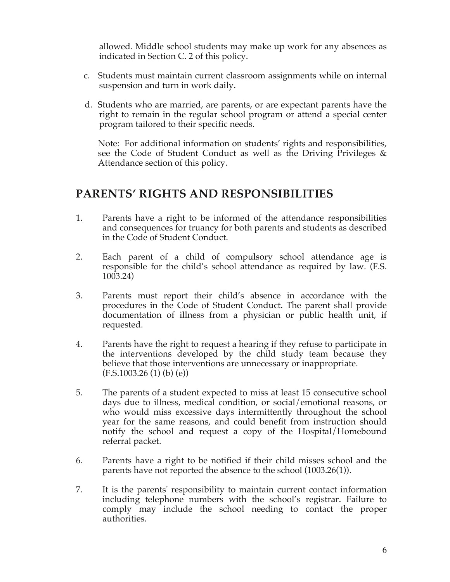allowed. Middle school students may make up work for any absences as indicated in Section C. 2 of this policy.

- c. Students must maintain current classroom assignments while on internal suspension and turn in work daily.
- d. Students who are married, are parents, or are expectant parents have the right to remain in the regular school program or attend a special center program tailored to their specific needs.

Note: For additional information on students' rights and responsibilities, see the Code of Student Conduct as well as the Driving Privileges & Attendance section of this policy.

## **PARENTS' RIGHTS AND RESPONSIBILITIES**

- 1. Parents have a right to be informed of the attendance responsibilities and consequences for truancy for both parents and students as described in the Code of Student Conduct.
- 2. Each parent of a child of compulsory school attendance age is responsible for the child's school attendance as required by law. (F.S. 1003.24)
- 3. Parents must report their child's absence in accordance with the procedures in the Code of Student Conduct. The parent shall provide documentation of illness from a physician or public health unit, if requested.
- 4. Parents have the right to request a hearing if they refuse to participate in the interventions developed by the child study team because they believe that those interventions are unnecessary or inappropriate. (F.S.1003.26 (1) (b) (e))
- 5. The parents of a student expected to miss at least 15 consecutive school days due to illness, medical condition, or social/emotional reasons, or who would miss excessive days intermittently throughout the school year for the same reasons, and could benefit from instruction should notify the school and request a copy of the Hospital/Homebound referral packet.
- 6. Parents have a right to be notified if their child misses school and the parents have not reported the absence to the school (1003.26(1)).
- 7. It is the parents' responsibility to maintain current contact information including telephone numbers with the school's registrar. Failure to comply may include the school needing to contact the proper authorities.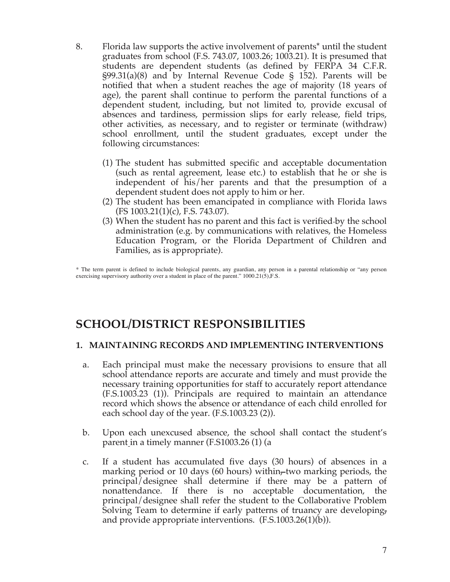- 8. Florida law supports the active involvement of parents\* until the student graduates from school (F.S. 743.07, 1003.26; 1003.21). It is presumed that students are dependent students (as defined by FERPA 34 C.F.R.  $\S99.31(a)(8)$  and by Internal Revenue Code § 152). Parents will be notified that when a student reaches the age of majority (18 years of age), the parent shall continue to perform the parental functions of a dependent student, including, but not limited to, provide excusal of absences and tardiness, permission slips for early release, field trips, other activities, as necessary, and to register or terminate (withdraw) school enrollment, until the student graduates, except under the following circumstances:
	- (1) The student has submitted specific and acceptable documentation (such as rental agreement, lease etc.) to establish that he or she is independent of his/her parents and that the presumption of a dependent student does not apply to him or her.
	- (2) The student has been emancipated in compliance with Florida laws (FS 1003.21(1)(c), F.S. 743.07).
	- (3) When the student has no parent and this fact is verified by the school administration (e.g. by communications with relatives, the Homeless Education Program, or the Florida Department of Children and Families, as is appropriate).

\* The term parent is defined to include biological parents, any guardian, any person in a parental relationship or "any person exercising supervisory authority over a student in place of the parent."  $1000.21(5)$ , F.S.

# **SCHOOL/DISTRICT RESPONSIBILITIES**

### **1. MAINTAINING RECORDS AND IMPLEMENTING INTERVENTIONS**

- a. Each principal must make the necessary provisions to ensure that all school attendance reports are accurate and timely and must provide the necessary training opportunities for staff to accurately report attendance (F.S.1003.23 (1)). Principals are required to maintain an attendance record which shows the absence or attendance of each child enrolled for each school day of the year. (F.S.1003.23 (2)).
- b. Upon each unexcused absence, the school shall contact the student's parent in a timely manner (F.S1003.26 (1) (a
- c. If a student has accumulated five days (30 hours) of absences in a marking period or 10 days (60 hours) within, two marking periods, the principal/designee shall determine if there may be a pattern of nonattendance. If there is no acceptable documentation, the principal/designee shall refer the student to the Collaborative Problem Solving Team to determine if early patterns of truancy are developing, and provide appropriate interventions. (F.S.1003.26(1)(b)).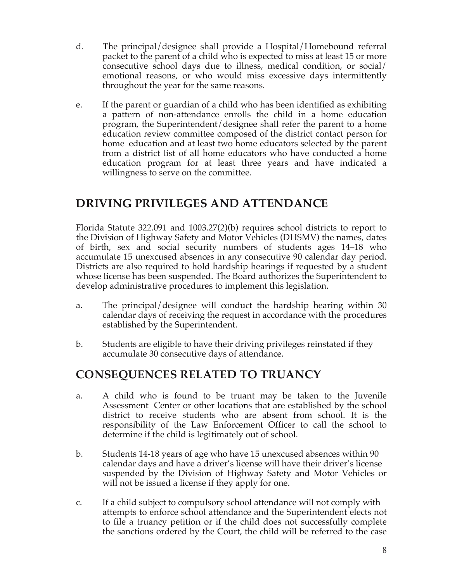- d. The principal/designee shall provide a Hospital/Homebound referral packet to the parent of a child who is expected to miss at least 15 or more consecutive school days due to illness, medical condition, or social/ emotional reasons, or who would miss excessive days intermittently throughout the year for the same reasons.
- e. If the parent or guardian of a child who has been identified as exhibiting a pattern of non-attendance enrolls the child in a home education program, the Superintendent/designee shall refer the parent to a home education review committee composed of the district contact person for home education and at least two home educators selected by the parent from a district list of all home educators who have conducted a home education program for at least three years and have indicated a willingness to serve on the committee.

# **DRIVING PRIVILEGES AND ATTENDANCE**

Florida Statute 322.091 and 1003.27(2)(b) requires school districts to report to the Division of Highway Safety and Motor Vehicles (DHSMV) the names, dates of birth, sex and social security numbers of students ages 14–18 who accumulate 15 unexcused absences in any consecutive 90 calendar day period. Districts are also required to hold hardship hearings if requested by a student whose license has been suspended. The Board authorizes the Superintendent to develop administrative procedures to implement this legislation.

- a. The principal/designee will conduct the hardship hearing within 30 calendar days of receiving the request in accordance with the procedures established by the Superintendent.
- b. Students are eligible to have their driving privileges reinstated if they accumulate 30 consecutive days of attendance.

# **CONSEQUENCES RELATED TO TRUANCY**

- a. A child who is found to be truant may be taken to the Juvenile Assessment Center or other locations that are established by the school district to receive students who are absent from school. It is the responsibility of the Law Enforcement Officer to call the school to determine if the child is legitimately out of school.
- b. Students 14-18 years of age who have 15 unexcused absences within 90 calendar days and have a driver's license will have their driver's license suspended by the Division of Highway Safety and Motor Vehicles or will not be issued a license if they apply for one.
- c. If a child subject to compulsory school attendance will not comply with attempts to enforce school attendance and the Superintendent elects not to file a truancy petition or if the child does not successfully complete the sanctions ordered by the Court, the child will be referred to the case